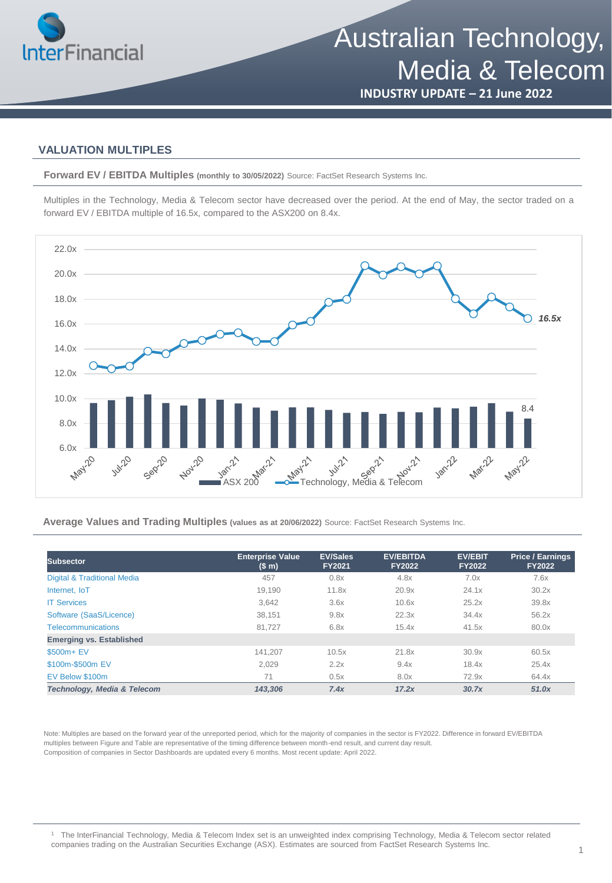

**INDUSTRY UPDATE – 21 June 2022**

### **VALUATION MULTIPLES**

**Forward EV / EBITDA Multiples (monthly to 30/05/2022)** Source: FactSet Research Systems Inc.

Multiples in the Technology, Media & Telecom sector have decreased over the period. At the end of May, the sector traded on a forward EV / EBITDA multiple of 16.5x, compared to the ASX200 on 8.4x.



**Average Values and Trading Multiples (values as at 20/06/2022)** Source: FactSet Research Systems Inc.

| <b>Subsector</b>                | <b>Enterprise Value</b><br>(S <sub>m</sub> ) | <b>EV/Sales</b><br><b>FY2021</b> | <b>EV/EBITDA</b><br><b>FY2022</b> | <b>EV/EBIT</b><br><b>FY2022</b> | <b>Price / Earnings</b><br><b>FY2022</b> |
|---------------------------------|----------------------------------------------|----------------------------------|-----------------------------------|---------------------------------|------------------------------------------|
| Digital & Traditional Media     | 457                                          | 0.8x                             | 4.8x                              | 7.0x                            | 7.6x                                     |
| Internet. IoT                   | 19.190                                       | 11.8x                            | 20.9x                             | 24.1x                           | 30.2x                                    |
| <b>IT Services</b>              | 3.642                                        | 3.6x                             | 10.6x                             | 25.2x                           | 39.8x                                    |
| Software (SaaS/Licence)         | 38.151                                       | 9.8x                             | 22.3x                             | 34.4x                           | 56.2x                                    |
| <b>Telecommunications</b>       | 81.727                                       | 6.8x                             | 15.4x                             | 41.5x                           | 80.0x                                    |
| <b>Emerging vs. Established</b> |                                              |                                  |                                   |                                 |                                          |
| \$500m+ EV                      | 141.207                                      | 10.5x                            | 21.8x                             | 30.9x                           | 60.5x                                    |
| \$100m-\$500m EV                | 2,029                                        | 2.2x                             | 9.4x                              | 18.4x                           | 25.4x                                    |
| EV Below \$100m                 | 71                                           | 0.5x                             | 8.0x                              | 72.9x                           | 64.4x                                    |
| Technology, Media & Telecom     | 143.306                                      | 7.4x                             | 17.2x                             | 30.7x                           | 51.0x                                    |

Note: Multiples are based on the forward year of the unreported period, which for the majority of companies in the sector is FY2022. Difference in forward EV/EBITDA multiples between Figure and Table are representative of the timing difference between month-end result, and current day result. Composition of companies in Sector Dashboards are updated every 6 months. Most recent update: April 2022.

<sup>1</sup> The InterFinancial Technology, Media & Telecom Index set is an unweighted index comprising Technology, Media & Telecom sector related companies trading on the Australian Securities Exchange (ASX). Estimates are sourced from FactSet Research Systems Inc.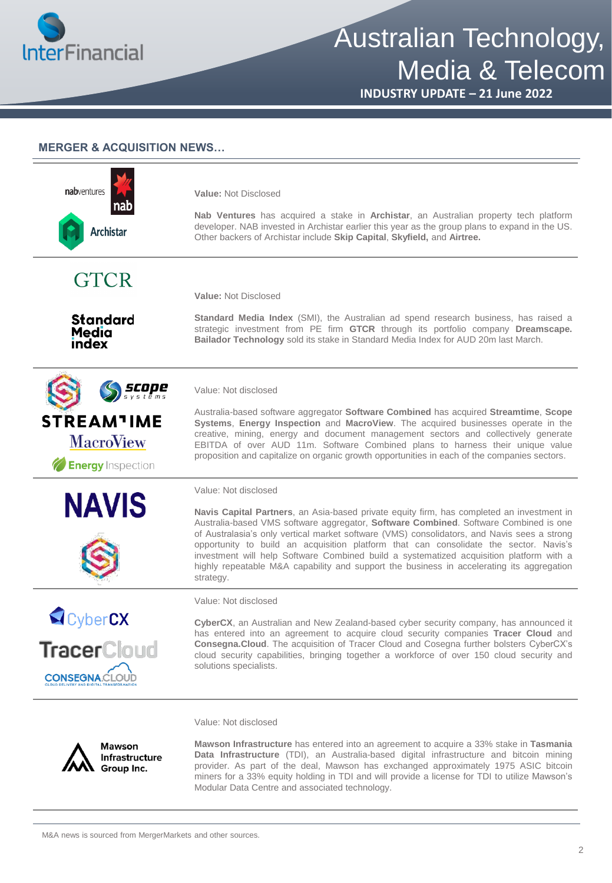

**INDUSTRY UPDATE – 21 June 2022**

#### **MERGER & ACQUISITION NEWS…**

| nabventures<br>nao<br><b>Archistar</b>                                                              | Value: Not Disclosed<br>Nab Ventures has acquired a stake in Archistar, an Australian property tech platform<br>developer. NAB invested in Archistar earlier this year as the group plans to expand in the US.<br>Other backers of Archistar include Skip Capital, Skyfield, and Airtree.                                                                                                                                                                                                                                                                                                              |
|-----------------------------------------------------------------------------------------------------|--------------------------------------------------------------------------------------------------------------------------------------------------------------------------------------------------------------------------------------------------------------------------------------------------------------------------------------------------------------------------------------------------------------------------------------------------------------------------------------------------------------------------------------------------------------------------------------------------------|
| <b>GTCR</b>                                                                                         | <b>Value: Not Disclosed</b>                                                                                                                                                                                                                                                                                                                                                                                                                                                                                                                                                                            |
| <b>Standard</b><br>Media<br>index                                                                   | <b>Standard Media Index</b> (SMI), the Australian ad spend research business, has raised a<br>strategic investment from PE firm GTCR through its portfolio company Dreamscape.<br>Bailador Technology sold its stake in Standard Media Index for AUD 20m last March.                                                                                                                                                                                                                                                                                                                                   |
| <i>scope</i>                                                                                        | Value: Not disclosed                                                                                                                                                                                                                                                                                                                                                                                                                                                                                                                                                                                   |
| <b>STREAM<sup>1</sup>IME</b><br><b>MacroView</b><br><b>Energy</b> Inspection                        | Australia-based software aggregator Software Combined has acquired Streamtime, Scope<br>Systems, Energy Inspection and MacroView. The acquired businesses operate in the<br>creative, mining, energy and document management sectors and collectively generate<br>EBITDA of over AUD 11m. Software Combined plans to harness their unique value<br>proposition and capitalize on organic growth opportunities in each of the companies sectors.                                                                                                                                                        |
| <b>NAVIS</b>                                                                                        | Value: Not disclosed<br>Navis Capital Partners, an Asia-based private equity firm, has completed an investment in<br>Australia-based VMS software aggregator, Software Combined. Software Combined is one<br>of Australasia's only vertical market software (VMS) consolidators, and Navis sees a strong<br>opportunity to build an acquisition platform that can consolidate the sector. Navis's<br>investment will help Software Combined build a systematized acquisition platform with a<br>highly repeatable M&A capability and support the business in accelerating its aggregation<br>strategy. |
|                                                                                                     | Value: Not disclosed                                                                                                                                                                                                                                                                                                                                                                                                                                                                                                                                                                                   |
| CyberCX<br>TracerCloud<br><b>CONSEGNA.CLOUD</b><br><b>CLOUD DELIVERY AND DIGITAL TRANSFORMATION</b> | CyberCX, an Australian and New Zealand-based cyber security company, has announced it<br>has entered into an agreement to acquire cloud security companies Tracer Cloud and<br>Consegna. Cloud. The acquisition of Tracer Cloud and Cosegna further bolsters CyberCX's<br>cloud security capabilities, bringing together a workforce of over 150 cloud security and<br>solutions specialists.                                                                                                                                                                                                          |
|                                                                                                     | Value: Not disclosed                                                                                                                                                                                                                                                                                                                                                                                                                                                                                                                                                                                   |
| <b>Mawson</b><br>Infrastructure<br>Group Inc.                                                       | Mawson Infrastructure has entered into an agreement to acquire a 33% stake in Tasmania<br>Data Infrastructure (TDI), an Australia-based digital infrastructure and bitcoin mining<br>provider. As part of the deal, Mawson has exchanged approximately 1975 ASIC bitcoin                                                                                                                                                                                                                                                                                                                               |

provider. As part of the deal, Mawson has exchanged approximately 1975 ASIC bitcoin miners for a 33% equity holding in TDI and will provide a license for TDI to utilize Mawson's Modular Data Centre and associated technology.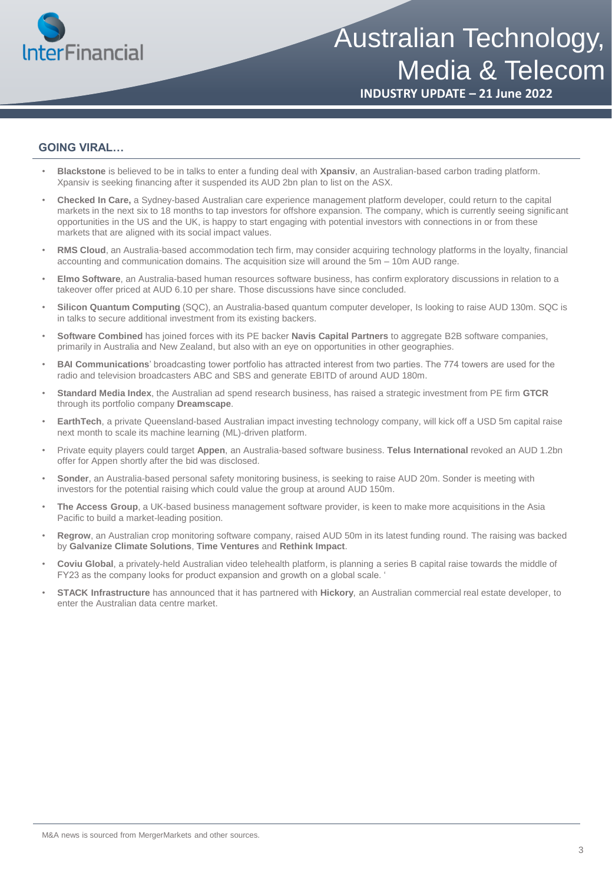

**INDUSTRY UPDATE – 21 June 2022**

#### **GOING VIRAL…**

- **Blackstone** is believed to be in talks to enter a funding deal with **Xpansiv**, an Australian-based carbon trading platform. Xpansiv is seeking financing after it suspended its AUD 2bn plan to list on the ASX.
- **Checked In Care,** a Sydney-based Australian care experience management platform developer, could return to the capital markets in the next six to 18 months to tap investors for offshore expansion. The company, which is currently seeing significant opportunities in the US and the UK, is happy to start engaging with potential investors with connections in or from these markets that are aligned with its social impact values.
- **RMS Cloud**, an Australia-based accommodation tech firm, may consider acquiring technology platforms in the loyalty, financial accounting and communication domains. The acquisition size will around the 5m – 10m AUD range.
- **Elmo Software**, an Australia-based human resources software business, has confirm exploratory discussions in relation to a takeover offer priced at AUD 6.10 per share. Those discussions have since concluded.
- **Silicon Quantum Computing** (SQC), an Australia-based quantum computer developer, Is looking to raise AUD 130m. SQC is in talks to secure additional investment from its existing backers.
- **Software Combined** has joined forces with its PE backer **Navis Capital Partners** to aggregate B2B software companies, primarily in Australia and New Zealand, but also with an eye on opportunities in other geographies.
- **BAI Communications**' broadcasting tower portfolio has attracted interest from two parties. The 774 towers are used for the radio and television broadcasters ABC and SBS and generate EBITD of around AUD 180m.
- **Standard Media Index**, the Australian ad spend research business, has raised a strategic investment from PE firm **GTCR**  through its portfolio company **Dreamscape**.
- **EarthTech**, a private Queensland-based Australian impact investing technology company, will kick off a USD 5m capital raise next month to scale its machine learning (ML)-driven platform.
- Private equity players could target **Appen**, an Australia-based software business. **Telus International** revoked an AUD 1.2bn offer for Appen shortly after the bid was disclosed.
- **Sonder**, an Australia-based personal safety monitoring business, is seeking to raise AUD 20m. Sonder is meeting with investors for the potential raising which could value the group at around AUD 150m.
- **The Access Group**, a UK-based business management software provider, is keen to make more acquisitions in the Asia Pacific to build a market-leading position.
- **Regrow**, an Australian crop monitoring software company, raised AUD 50m in its latest funding round. The raising was backed by **Galvanize Climate Solutions**, **Time Ventures** and **Rethink Impact**.
- **Coviu Global**, a privately-held Australian video telehealth platform, is planning a series B capital raise towards the middle of FY23 as the company looks for product expansion and growth on a global scale. '
- **STACK Infrastructure** has announced that it has partnered with **Hickory**, an Australian commercial real estate developer, to enter the Australian data centre market.